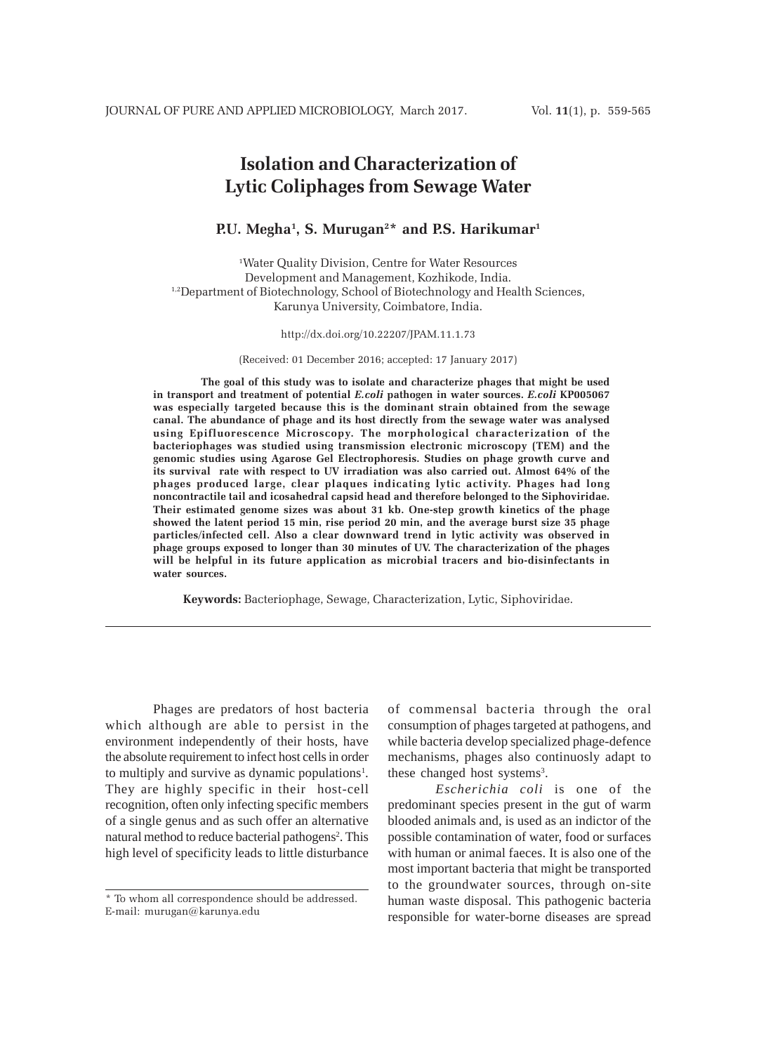# **Isolation and Characterization of Lytic Coliphages from Sewage Water**

**P.U. Megha1 , S. Murugan2 \* and P.S. Harikumar1**

1 Water Quality Division, Centre for Water Resources Development and Management, Kozhikode, India. <sup>1,2</sup>Department of Biotechnology, School of Biotechnology and Health Sciences, Karunya University, Coimbatore, India.

http://dx.doi.org/10.22207/JPAM.11.1.73

(Received: 01 December 2016; accepted: 17 January 2017)

**The goal of this study was to isolate and characterize phages that might be used in transport and treatment of potential** *E.coli* **pathogen in water sources.** *E.coli* **KP005067 was especially targeted because this is the dominant strain obtained from the sewage canal. The abundance of phage and its host directly from the sewage water was analysed using Epifluorescence Microscopy. The morphological characterization of the bacteriophages was studied using transmission electronic microscopy (TEM) and the genomic studies using Agarose Gel Electrophoresis. Studies on phage growth curve and its survival rate with respect to UV irradiation was also carried out. Almost 64% of the phages produced large, clear plaques indicating lytic activity. Phages had long noncontractile tail and icosahedral capsid head and therefore belonged to the Siphoviridae. Their estimated genome sizes was about 31 kb. One-step growth kinetics of the phage showed the latent period 15 min, rise period 20 min, and the average burst size 35 phage particles/infected cell. Also a clear downward trend in lytic activity was observed in phage groups exposed to longer than 30 minutes of UV. The characterization of the phages will be helpful in its future application as microbial tracers and bio-disinfectants in water sources.**

**Keywords:** Bacteriophage, Sewage, Characterization, Lytic, Siphoviridae.

Phages are predators of host bacteria which although are able to persist in the environment independently of their hosts, have the absolute requirement to infect host cells in order to multiply and survive as dynamic populations<sup>1</sup>. They are highly specific in their host-cell recognition, often only infecting specific members of a single genus and as such offer an alternative natural method to reduce bacterial pathogens<sup>2</sup>. This high level of specificity leads to little disturbance

of commensal bacteria through the oral consumption of phages targeted at pathogens, and while bacteria develop specialized phage-defence mechanisms, phages also continuosly adapt to these changed host systems<sup>3</sup>.

*Escherichia coli* is one of the predominant species present in the gut of warm blooded animals and, is used as an indictor of the possible contamination of water, food or surfaces with human or animal faeces. It is also one of the most important bacteria that might be transported to the groundwater sources, through on-site human waste disposal. This pathogenic bacteria responsible for water-borne diseases are spread

<sup>\*</sup> To whom all correspondence should be addressed. E-mail: murugan@karunya.edu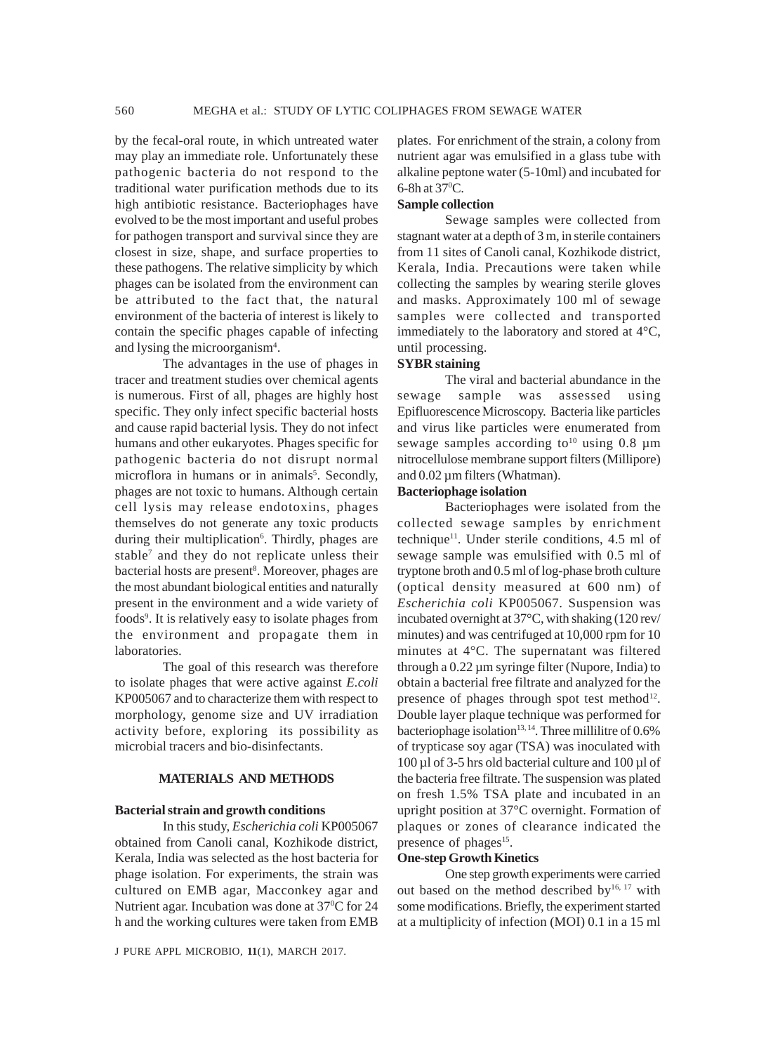by the fecal-oral route, in which untreated water may play an immediate role. Unfortunately these pathogenic bacteria do not respond to the traditional water purification methods due to its high antibiotic resistance. Bacteriophages have evolved to be the most important and useful probes for pathogen transport and survival since they are closest in size, shape, and surface properties to these pathogens. The relative simplicity by which phages can be isolated from the environment can be attributed to the fact that, the natural environment of the bacteria of interest is likely to contain the specific phages capable of infecting and lysing the microorganism<sup>4</sup>.

The advantages in the use of phages in tracer and treatment studies over chemical agents is numerous. First of all, phages are highly host specific. They only infect specific bacterial hosts and cause rapid bacterial lysis. They do not infect humans and other eukaryotes. Phages specific for pathogenic bacteria do not disrupt normal microflora in humans or in animals<sup>5</sup>. Secondly, phages are not toxic to humans. Although certain cell lysis may release endotoxins, phages themselves do not generate any toxic products during their multiplication<sup>6</sup>. Thirdly, phages are stable<sup>7</sup> and they do not replicate unless their bacterial hosts are present<sup>8</sup>. Moreover, phages are the most abundant biological entities and naturally present in the environment and a wide variety of foods<sup>9</sup>. It is relatively easy to isolate phages from the environment and propagate them in laboratories.

The goal of this research was therefore to isolate phages that were active against *E.coli* KP005067 and to characterize them with respect to morphology, genome size and UV irradiation activity before, exploring its possibility as microbial tracers and bio-disinfectants.

## **MATERIALS AND METHODS**

#### **Bacterial strain and growth conditions**

In this study, *Escherichia coli* KP005067 obtained from Canoli canal, Kozhikode district, Kerala, India was selected as the host bacteria for phage isolation. For experiments, the strain was cultured on EMB agar, Macconkey agar and Nutrient agar. Incubation was done at 37°C for 24 h and the working cultures were taken from EMB

J PURE APPL MICROBIO*,* **11**(1), MARCH 2017.

plates. For enrichment of the strain, a colony from nutrient agar was emulsified in a glass tube with alkaline peptone water (5-10ml) and incubated for  $6-8h$  at  $37^{\circ}$ C.

# **Sample collection**

Sewage samples were collected from stagnant water at a depth of 3 m, in sterile containers from 11 sites of Canoli canal, Kozhikode district, Kerala, India. Precautions were taken while collecting the samples by wearing sterile gloves and masks. Approximately 100 ml of sewage samples were collected and transported immediately to the laboratory and stored at 4°C, until processing.

## **SYBR staining**

The viral and bacterial abundance in the sewage sample was assessed using Epifluorescence Microscopy. Bacteria like particles and virus like particles were enumerated from sewage samples according to<sup>10</sup> using 0.8  $\mu$ m nitrocellulose membrane support filters (Millipore) and  $0.02 \mu$ m filters (Whatman).

#### **Bacteriophage isolation**

Bacteriophages were isolated from the collected sewage samples by enrichment technique<sup>11</sup>. Under sterile conditions,  $4.5$  ml of sewage sample was emulsified with 0.5 ml of tryptone broth and 0.5 ml of log-phase broth culture (optical density measured at 600 nm) of *Escherichia coli* KP005067. Suspension was incubated overnight at 37°C, with shaking (120 rev/ minutes) and was centrifuged at 10,000 rpm for 10 minutes at 4°C. The supernatant was filtered through a  $0.22 \mu$ m syringe filter (Nupore, India) to obtain a bacterial free filtrate and analyzed for the presence of phages through spot test method<sup>12</sup>. Double layer plaque technique was performed for bacteriophage isolation<sup>13, 14</sup>. Three millilitre of 0.6% of trypticase soy agar (TSA) was inoculated with  $100 \mu$ l of 3-5 hrs old bacterial culture and  $100 \mu$ l of the bacteria free filtrate. The suspension was plated on fresh 1.5% TSA plate and incubated in an upright position at 37°C overnight. Formation of plaques or zones of clearance indicated the presence of phages<sup>15</sup>.

#### **One-step Growth Kinetics**

One step growth experiments were carried out based on the method described by<sup>16, 17</sup> with some modifications. Briefly, the experiment started at a multiplicity of infection (MOI) 0.1 in a 15 ml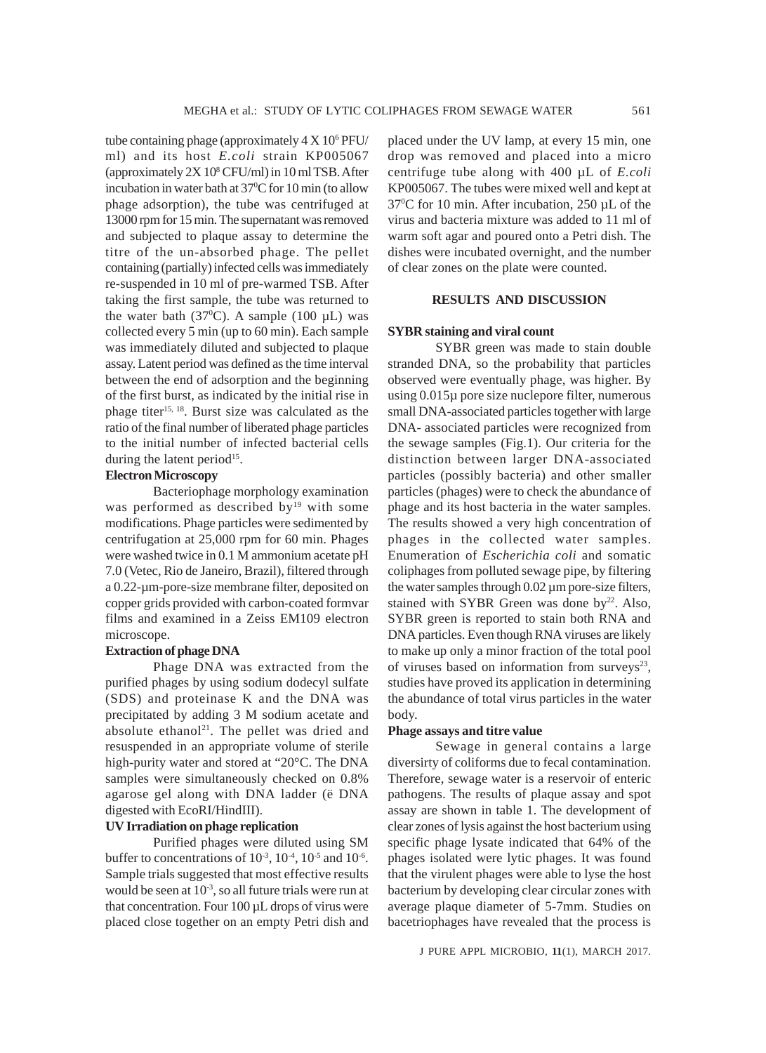tube containing phage (approximately  $4 \times 10^6$  PFU/ ml) and its host *E.coli* strain KP005067 (approximately 2X  $10^8$  CFU/ml) in 10 ml TSB. After incubation in water bath at 37<sup>o</sup>C for 10 min (to allow phage adsorption), the tube was centrifuged at 13000 rpm for 15 min. The supernatant was removed and subjected to plaque assay to determine the titre of the un-absorbed phage. The pellet containing (partially) infected cells was immediately re-suspended in 10 ml of pre-warmed TSB. After taking the first sample, the tube was returned to the water bath (37 $^{\circ}$ C). A sample (100 µL) was collected every 5 min (up to 60 min). Each sample was immediately diluted and subjected to plaque assay. Latent period was defined as the time interval between the end of adsorption and the beginning of the first burst, as indicated by the initial rise in phage titer<sup>15, 18</sup>. Burst size was calculated as the ratio of the final number of liberated phage particles to the initial number of infected bacterial cells during the latent period<sup>15</sup>.

# **Electron Microscopy**

Bacteriophage morphology examination was performed as described by<sup>19</sup> with some modifications. Phage particles were sedimented by centrifugation at 25,000 rpm for 60 min. Phages were washed twice in 0.1 M ammonium acetate pH 7.0 (Vetec, Rio de Janeiro, Brazil), filtered through a 0.22-µm-pore-size membrane filter, deposited on copper grids provided with carbon-coated formvar films and examined in a Zeiss EM109 electron microscope.

## **Extraction of phage DNA**

Phage DNA was extracted from the purified phages by using sodium dodecyl sulfate (SDS) and proteinase K and the DNA was precipitated by adding 3 M sodium acetate and absolute ethanol<sup>21</sup>. The pellet was dried and resuspended in an appropriate volume of sterile high-purity water and stored at "20°C. The DNA samples were simultaneously checked on 0.8% agarose gel along with DNA ladder (ë DNA digested with EcoRI/HindIII).

# **UV Irradiation on phage replication**

Purified phages were diluted using SM buffer to concentrations of  $10^{-3}$ ,  $10^{-4}$ ,  $10^{-5}$  and  $10^{-6}$ . Sample trials suggested that most effective results would be seen at  $10^{-3}$ , so all future trials were run at that concentration. Four  $100 \mu L$  drops of virus were placed close together on an empty Petri dish and placed under the UV lamp, at every 15 min, one drop was removed and placed into a micro centrifuge tube along with 400 µL of *E.coli* KP005067. The tubes were mixed well and kept at 37<sup>o</sup>C for 10 min. After incubation, 250 µL of the virus and bacteria mixture was added to 11 ml of warm soft agar and poured onto a Petri dish. The dishes were incubated overnight, and the number of clear zones on the plate were counted.

## **RESULTS AND DISCUSSION**

#### **SYBR staining and viral count**

SYBR green was made to stain double stranded DNA, so the probability that particles observed were eventually phage, was higher. By using 0.015µ pore size nuclepore filter, numerous small DNA-associated particles together with large DNA- associated particles were recognized from the sewage samples (Fig.1). Our criteria for the distinction between larger DNA-associated particles (possibly bacteria) and other smaller particles (phages) were to check the abundance of phage and its host bacteria in the water samples. The results showed a very high concentration of phages in the collected water samples. Enumeration of *Escherichia coli* and somatic coliphages from polluted sewage pipe, by filtering the water samples through 0.02 µm pore-size filters, stained with SYBR Green was done by $22$ . Also, SYBR green is reported to stain both RNA and DNA particles. Even though RNA viruses are likely to make up only a minor fraction of the total pool of viruses based on information from surveys $23$ , studies have proved its application in determining the abundance of total virus particles in the water body.

#### **Phage assays and titre value**

Sewage in general contains a large diversirty of coliforms due to fecal contamination. Therefore, sewage water is a reservoir of enteric pathogens. The results of plaque assay and spot assay are shown in table 1. The development of clear zones of lysis against the host bacterium using specific phage lysate indicated that 64% of the phages isolated were lytic phages. It was found that the virulent phages were able to lyse the host bacterium by developing clear circular zones with average plaque diameter of 5-7mm. Studies on bacetriophages have revealed that the process is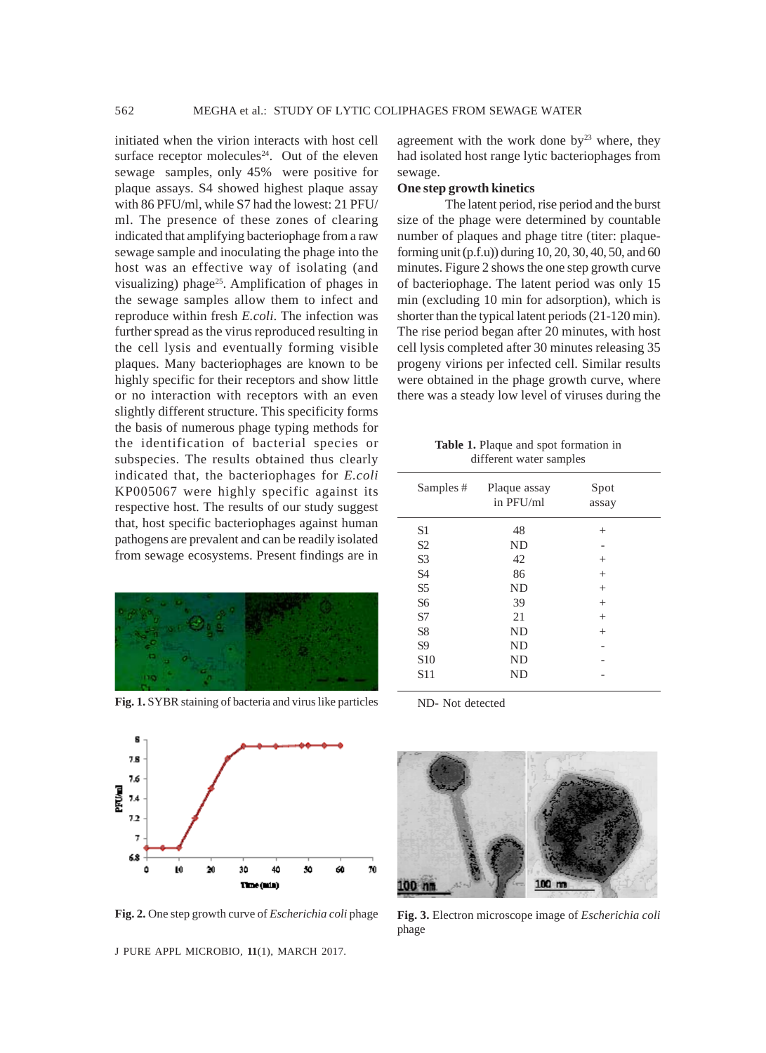initiated when the virion interacts with host cell surface receptor molecules<sup>24</sup>. Out of the eleven sewage samples, only 45% were positive for plaque assays. S4 showed highest plaque assay with 86 PFU/ml, while S7 had the lowest: 21 PFU/ ml. The presence of these zones of clearing indicated that amplifying bacteriophage from a raw sewage sample and inoculating the phage into the host was an effective way of isolating (and visualizing) phage<sup>25</sup>. Amplification of phages in the sewage samples allow them to infect and reproduce within fresh *E.coli*. The infection was further spread as the virus reproduced resulting in the cell lysis and eventually forming visible plaques. Many bacteriophages are known to be highly specific for their receptors and show little or no interaction with receptors with an even slightly different structure. This specificity forms the basis of numerous phage typing methods for the identification of bacterial species or subspecies. The results obtained thus clearly indicated that, the bacteriophages for *E.coli* KP005067 were highly specific against its respective host. The results of our study suggest that, host specific bacteriophages against human pathogens are prevalent and can be readily isolated from sewage ecosystems. Present findings are in



**Fig. 1.** SYBR staining of bacteria and virus like particles



J PURE APPL MICROBIO*,* **11**(1), MARCH 2017.

agreement with the work done  $by<sup>23</sup>$  where, they had isolated host range lytic bacteriophages from sewage.

#### **One step growth kinetics**

The latent period, rise period and the burst size of the phage were determined by countable number of plaques and phage titre (titer: plaqueforming unit (p.f.u)) during 10, 20, 30, 40, 50, and 60 minutes. Figure 2 shows the one step growth curve of bacteriophage. The latent period was only 15 min (excluding 10 min for adsorption), which is shorter than the typical latent periods (21-120 min). The rise period began after 20 minutes, with host cell lysis completed after 30 minutes releasing 35 progeny virions per infected cell. Similar results were obtained in the phage growth curve, where there was a steady low level of viruses during the

**Table 1.** Plaque and spot formation in different water samples

| Samples #       | Plaque assay<br>in PFU/ml | Spot<br>assay |
|-----------------|---------------------------|---------------|
| S <sub>1</sub>  | 48                        | $^{+}$        |
| S <sub>2</sub>  | <b>ND</b>                 |               |
| S <sub>3</sub>  | 42                        | $^{+}$        |
| <b>S4</b>       | 86                        | $^{+}$        |
| S <sub>5</sub>  | <b>ND</b>                 | $^{+}$        |
| S <sub>6</sub>  | 39                        | $^{+}$        |
| S7              | 21                        | $^{+}$        |
| S <sub>8</sub>  | <b>ND</b>                 | $^{+}$        |
| S <sub>9</sub>  | <b>ND</b>                 |               |
| S <sub>10</sub> | <b>ND</b>                 |               |
| S <sub>11</sub> | <b>ND</b>                 |               |
|                 |                           |               |

ND- Not detected



**Fig. 2.** One step growth curve of *Escherichia coli* phage **Fig. 3.** Electron microscope image of *Escherichia coli* phage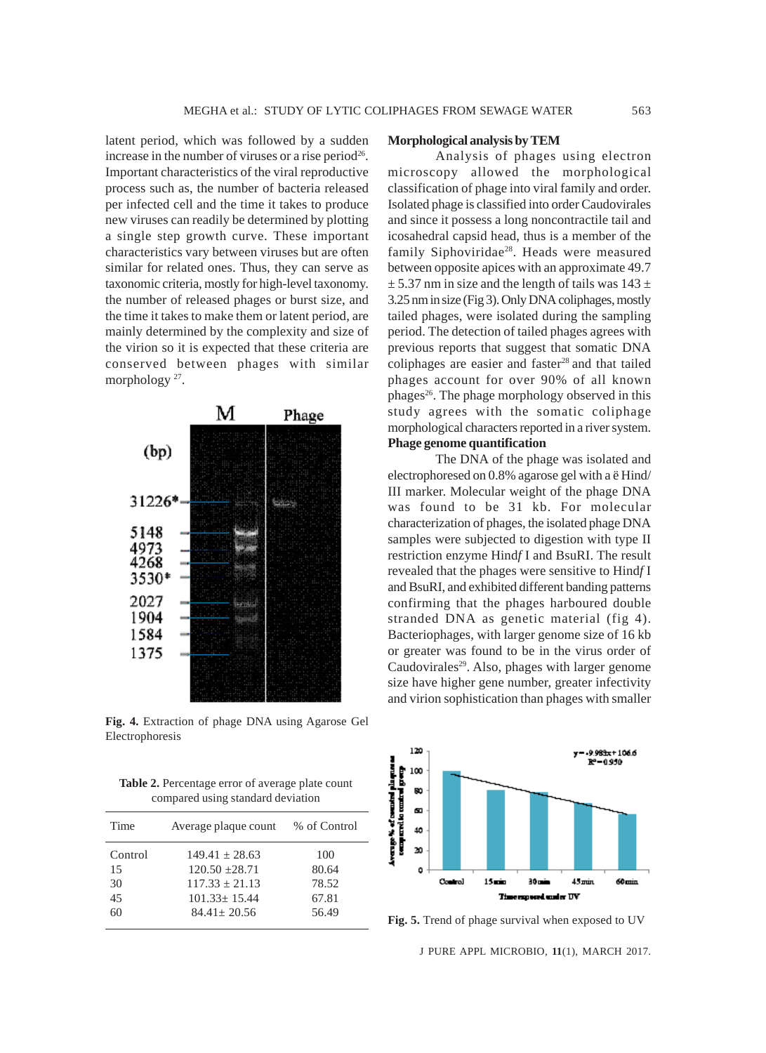latent period, which was followed by a sudden increase in the number of viruses or a rise period<sup>26</sup>. Important characteristics of the viral reproductive process such as, the number of bacteria released per infected cell and the time it takes to produce new viruses can readily be determined by plotting a single step growth curve. These important characteristics vary between viruses but are often similar for related ones. Thus, they can serve as taxonomic criteria, mostly for high-level taxonomy. the number of released phages or burst size, and the time it takes to make them or latent period, are mainly determined by the complexity and size of the virion so it is expected that these criteria are conserved between phages with similar morphology<sup>27</sup>.



**Fig. 4.** Extraction of phage DNA using Agarose Gel Electrophoresis

**Table 2.** Percentage error of average plate count compared using standard deviation

| Time    | Average plaque count | % of Control |
|---------|----------------------|--------------|
| Control | $149.41 + 28.63$     | 100          |
| 15      | $120.50 + 28.71$     | 80.64        |
| 30      | $117.33 + 21.13$     | 78.52        |
| 45      | $101.33 + 15.44$     | 67.81        |
| 60      | $84.41 + 20.56$      | 56.49        |
|         |                      |              |

## **Morphological analysis by TEM**

Analysis of phages using electron microscopy allowed the morphological classification of phage into viral family and order. Isolated phage is classified into order Caudovirales and since it possess a long noncontractile tail and icosahedral capsid head, thus is a member of the family Siphoviridae<sup>28</sup>. Heads were measured between opposite apices with an approximate 49.7  $\pm$  5.37 nm in size and the length of tails was 143  $\pm$ 3.25 nm in size (Fig 3). Only DNA coliphages, mostly tailed phages, were isolated during the sampling period. The detection of tailed phages agrees with previous reports that suggest that somatic DNA coliphages are easier and faster<sup>28</sup> and that tailed phages account for over 90% of all known phages26. The phage morphology observed in this study agrees with the somatic coliphage morphological characters reported in a river system. **Phage genome quantification**

The DNA of the phage was isolated and electrophoresed on 0.8% agarose gel with a ë Hind/ III marker. Molecular weight of the phage DNA was found to be 31 kb. For molecular characterization of phages, the isolated phage DNA samples were subjected to digestion with type II restriction enzyme Hind*f* I and BsuRI. The result revealed that the phages were sensitive to Hind*f* I and BsuRI, and exhibited different banding patterns confirming that the phages harboured double stranded DNA as genetic material (fig 4). Bacteriophages, with larger genome size of 16 kb or greater was found to be in the virus order of Caudovirales<sup>29</sup>. Also, phages with larger genome size have higher gene number, greater infectivity and virion sophistication than phages with smaller



Fig. 5. Trend of phage survival when exposed to UV

J PURE APPL MICROBIO*,* **11**(1), MARCH 2017.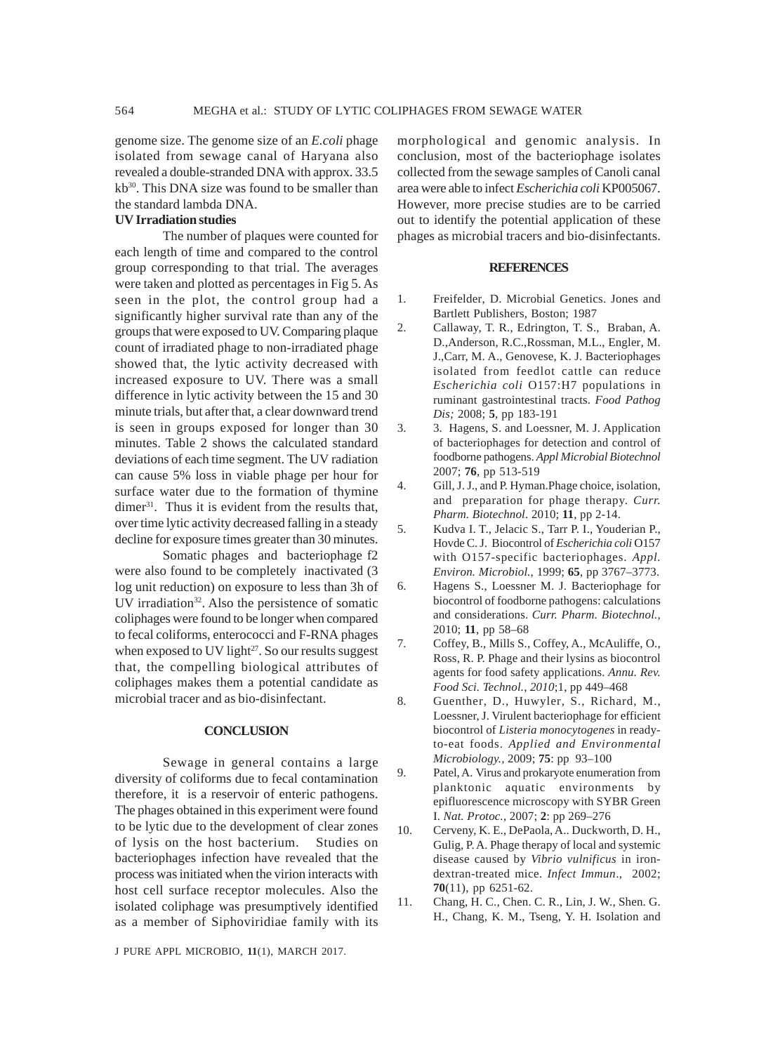genome size. The genome size of an *E.coli* phage isolated from sewage canal of Haryana also revealed a double-stranded DNA with approx. 33.5 kb<sup>30</sup>. This DNA size was found to be smaller than the standard lambda DNA.

# **UV Irradiation studies**

The number of plaques were counted for each length of time and compared to the control group corresponding to that trial. The averages were taken and plotted as percentages in Fig 5. As seen in the plot, the control group had a significantly higher survival rate than any of the groups that were exposed to UV. Comparing plaque count of irradiated phage to non-irradiated phage showed that, the lytic activity decreased with increased exposure to UV. There was a small difference in lytic activity between the 15 and 30 minute trials, but after that, a clear downward trend is seen in groups exposed for longer than 30 minutes. Table 2 shows the calculated standard deviations of each time segment. The UV radiation can cause 5% loss in viable phage per hour for surface water due to the formation of thymine dimer $31$ . Thus it is evident from the results that, over time lytic activity decreased falling in a steady decline for exposure times greater than 30 minutes.

Somatic phages and bacteriophage f2 were also found to be completely inactivated (3 log unit reduction) on exposure to less than 3h of UV irradiation<sup>32</sup>. Also the persistence of somatic coliphages were found to be longer when compared to fecal coliforms, enterococci and F-RNA phages when exposed to UV light<sup>27</sup>. So our results suggest that, the compelling biological attributes of coliphages makes them a potential candidate as microbial tracer and as bio-disinfectant.

## **CONCLUSION**

Sewage in general contains a large diversity of coliforms due to fecal contamination therefore, it is a reservoir of enteric pathogens. The phages obtained in this experiment were found to be lytic due to the development of clear zones of lysis on the host bacterium. Studies on bacteriophages infection have revealed that the process was initiated when the virion interacts with host cell surface receptor molecules. Also the isolated coliphage was presumptively identified as a member of Siphoviridiae family with its

J PURE APPL MICROBIO*,* **11**(1), MARCH 2017.

morphological and genomic analysis. In conclusion, most of the bacteriophage isolates collected from the sewage samples of Canoli canal area were able to infect *Escherichia coli* KP005067. However, more precise studies are to be carried out to identify the potential application of these phages as microbial tracers and bio-disinfectants.

#### **REFERENCES**

- 1. Freifelder, D. Microbial Genetics. Jones and Bartlett Publishers, Boston; 1987
- 2. Callaway, T. R., Edrington, T. S., Braban, A. D.,Anderson, R.C.,Rossman, M.L., Engler, M. J.,Carr, M. A., Genovese, K. J. Bacteriophages isolated from feedlot cattle can reduce *Escherichia coli* O157:H7 populations in ruminant gastrointestinal tracts. *Food Pathog Dis;* 2008; **5**, pp 183-191
- 3. 3. Hagens, S. and Loessner, M. J. Application of bacteriophages for detection and control of foodborne pathogens. *Appl Microbial Biotechnol* 2007; **76**, pp 513-519
- 4. Gill, J. J., and P. Hyman.Phage choice, isolation, and preparation for phage therapy. *Curr. Pharm. Biotechnol*. 2010; **11**, pp 2-14.
- 5. Kudva I. T., Jelacic S., Tarr P. I., Youderian P., Hovde C. J. Biocontrol of *Escherichia coli* O157 with O157-specific bacteriophages. *Appl. Environ. Microbiol.*, 1999; **65**, pp 3767–3773.
- 6. Hagens S., Loessner M. J. Bacteriophage for biocontrol of foodborne pathogens: calculations and considerations. *Curr. Pharm. Biotechnol.,* 2010; **11**, pp 58–68
- 7. Coffey, B., Mills S., Coffey, A., McAuliffe, O., Ross, R. P. Phage and their lysins as biocontrol agents for food safety applications. *Annu. Rev. Food Sci. Technol., 2010*;1, pp 449–468
- 8. Guenther, D., Huwyler, S., Richard, M., Loessner, J. Virulent bacteriophage for efficient biocontrol of *Listeria monocytogenes* in readyto-eat foods. *Applied and Environmental Microbiology.,* 2009; **75**: pp 93–100
- 9. Patel, A. Virus and prokaryote enumeration from planktonic aquatic environments by epifluorescence microscopy with SYBR Green I. *Nat. Protoc.,* 2007; **2**: pp 269–276
- 10. Cerveny, K. E., DePaola, A.. Duckworth, D. H., Gulig, P. A. Phage therapy of local and systemic disease caused by *Vibrio vulnificus* in irondextran-treated mice. *Infect Immun*., 2002; **70**(11), pp 6251-62.
- 11. Chang, H. C., Chen. C. R., Lin, J. W., Shen. G. H., Chang, K. M., Tseng, Y. H. Isolation and